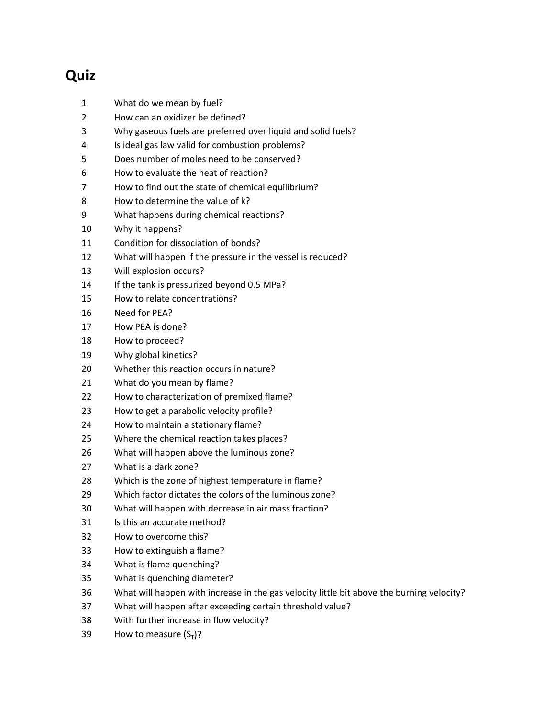## **Quiz**

- What do we mean by fuel?
- How can an oxidizer be defined?
- Why gaseous fuels are preferred over liquid and solid fuels?
- Is ideal gas law valid for combustion problems?
- Does number of moles need to be conserved?
- How to evaluate the heat of reaction?
- How to find out the state of chemical equilibrium?
- How to determine the value of k?
- What happens during chemical reactions?
- Why it happens?
- Condition for dissociation of bonds?
- What will happen if the pressure in the vessel is reduced?
- Will explosion occurs?
- 14 If the tank is pressurized beyond 0.5 MPa?
- How to relate concentrations?
- Need for PEA?
- How PEA is done?
- How to proceed?
- Why global kinetics?
- Whether this reaction occurs in nature?
- What do you mean by flame?
- How to characterization of premixed flame?
- How to get a parabolic velocity profile?
- How to maintain a stationary flame?
- Where the chemical reaction takes places?
- What will happen above the luminous zone?
- What is a dark zone?
- Which is the zone of highest temperature in flame?
- Which factor dictates the colors of the luminous zone?
- What will happen with decrease in air mass fraction?
- Is this an accurate method?
- How to overcome this?
- How to extinguish a flame?
- What is flame quenching?
- What is quenching diameter?
- What will happen with increase in the gas velocity little bit above the burning velocity?
- What will happen after exceeding certain threshold value?
- With further increase in flow velocity?
- 39 How to measure  $(S_T)$ ?